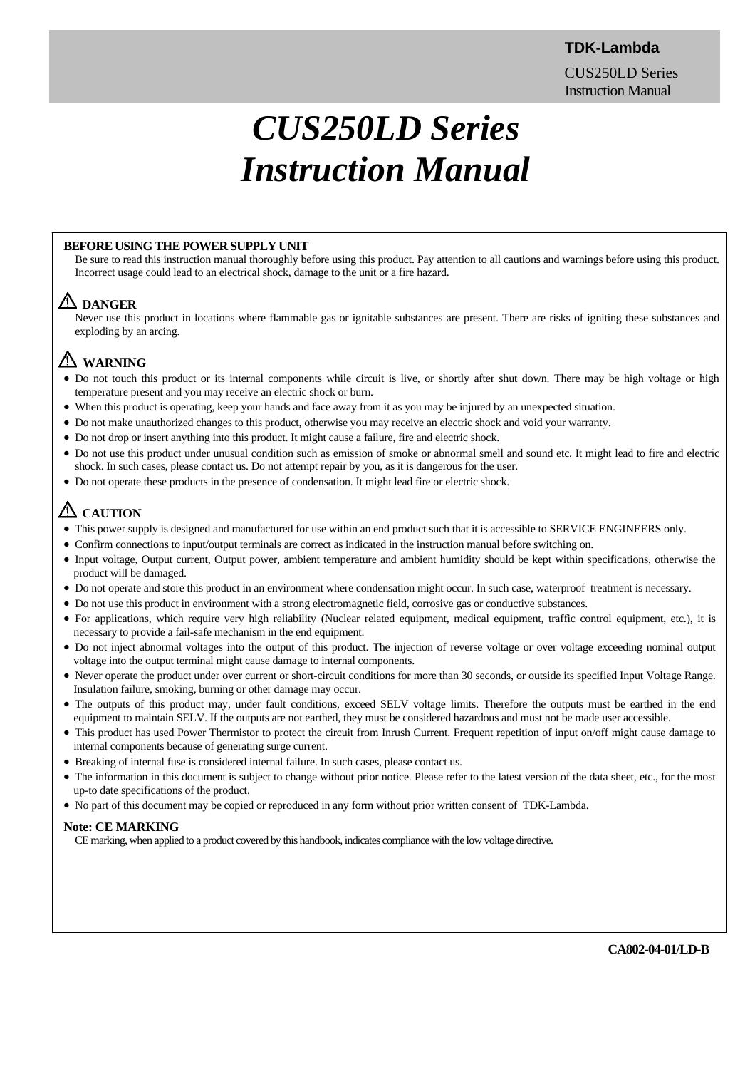## **TDK-Lambda**

CUS250LD Series Instruction Manual

# *CUS250LD Series Instruction Manual*

## **BEFORE USING THE POWER SUPPLY UNIT**

Be sure to read this instruction manual thoroughly before using this product. Pay attention to all cautions and warnings before using this product. Incorrect usage could lead to an electrical shock, damage to the unit or a fire hazard.

## **DANGER**

Never use this product in locations where flammable gas or ignitable substances are present. There are risks of igniting these substances and exploding by an arcing.

# **WARNING**

- Do not touch this product or its internal components while circuit is live, or shortly after shut down. There may be high voltage or high temperature present and you may receive an electric shock or burn.
- When this product is operating, keep your hands and face away from it as you may be injured by an unexpected situation.
- Do not make unauthorized changes to this product, otherwise you may receive an electric shock and void your warranty.
- Do not drop or insert anything into this product. It might cause a failure, fire and electric shock.
- Do not use this product under unusual condition such as emission of smoke or abnormal smell and sound etc. It might lead to fire and electric shock. In such cases, please contact us. Do not attempt repair by you, as it is dangerous for the user.
- Do not operate these products in the presence of condensation. It might lead fire or electric shock.

# **CAUTION**

- This power supply is designed and manufactured for use within an end product such that it is accessible to SERVICE ENGINEERS only.
- Confirm connections to input/output terminals are correct as indicated in the instruction manual before switching on.
- Input voltage, Output current, Output power, ambient temperature and ambient humidity should be kept within specifications, otherwise the product will be damaged.
- Do not operate and store this product in an environment where condensation might occur. In such case, waterproof treatment is necessary.
- Do not use this product in environment with a strong electromagnetic field, corrosive gas or conductive substances.
- For applications, which require very high reliability (Nuclear related equipment, medical equipment, traffic control equipment, etc.), it is necessary to provide a fail-safe mechanism in the end equipment.
- Do not inject abnormal voltages into the output of this product. The injection of reverse voltage or over voltage exceeding nominal output voltage into the output terminal might cause damage to internal components.
- Never operate the product under over current or short-circuit conditions for more than 30 seconds, or outside its specified Input Voltage Range. Insulation failure, smoking, burning or other damage may occur.
- The outputs of this product may, under fault conditions, exceed SELV voltage limits. Therefore the outputs must be earthed in the end equipment to maintain SELV. If the outputs are not earthed, they must be considered hazardous and must not be made user accessible.
- This product has used Power Thermistor to protect the circuit from Inrush Current. Frequent repetition of input on/off might cause damage to internal components because of generating surge current.
- Breaking of internal fuse is considered internal failure. In such cases, please contact us.
- The information in this document is subject to change without prior notice. Please refer to the latest version of the data sheet, etc., for the most up-to date specifications of the product.
- No part of this document may be copied or reproduced in any form without prior written consent of TDK-Lambda.

#### **Note: CE MARKING**

CE marking, when applied to a product covered by this handbook, indicates compliance with the low voltage directive.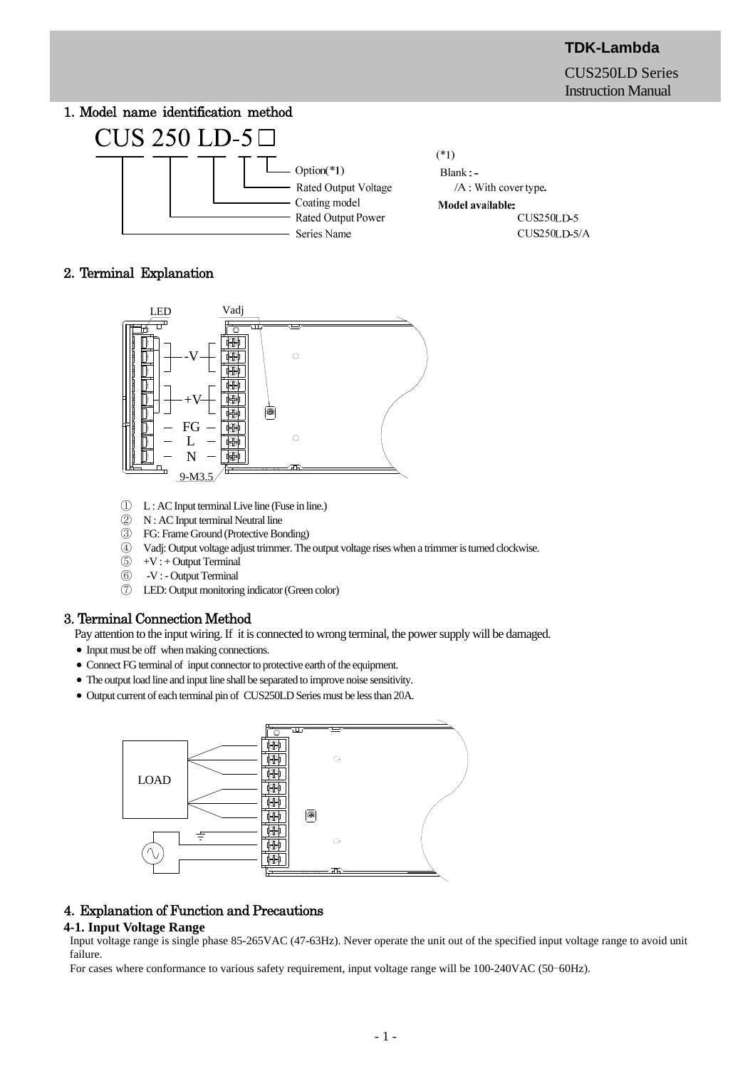## 1.Model name identification method



 $(*1)$ Blank: -/A: With cover type. Model available: CUS250LD-5 **CUS250LD-5/A** 

## 2.Terminal Explanation



- ① L : AC Input terminal Live line (Fuse in line.)
- ② N : AC Input terminal Neutral line
- ③ FG: Frame Ground (Protective Bonding)
- $\circled{4}$  Vadj: Output voltage adjust trimmer. The output voltage rises when a trimmer is turned clockwise.<br>  $\circled{5}$  +V: + Output Terminal
- $+V$ : + Output Terminal
- ⑥ -V : Output Terminal
	- ⑦ LED: Output monitoring indicator (Green color)

## 3. Terminal Connection Method

Pay attention to the input wiring. If it is connected to wrong terminal, the power supply will be damaged.

- Input must be off when making connections.
- Connect FG terminal of input connector to protective earth of the equipment.
- The output load line and input line shall be separated to improve noise sensitivity.
- Output current of each terminal pin of CUS250LD Series must be less than 20A.



## 4.Explanation of Function and Precautions

## **4-1. Input Voltage Range**

Input voltage range is single phase 85-265VAC (47-63Hz). Never operate the unit out of the specified input voltage range to avoid unit failure.

For cases where conformance to various safety requirement, input voltage range will be 100-240VAC (50-60Hz).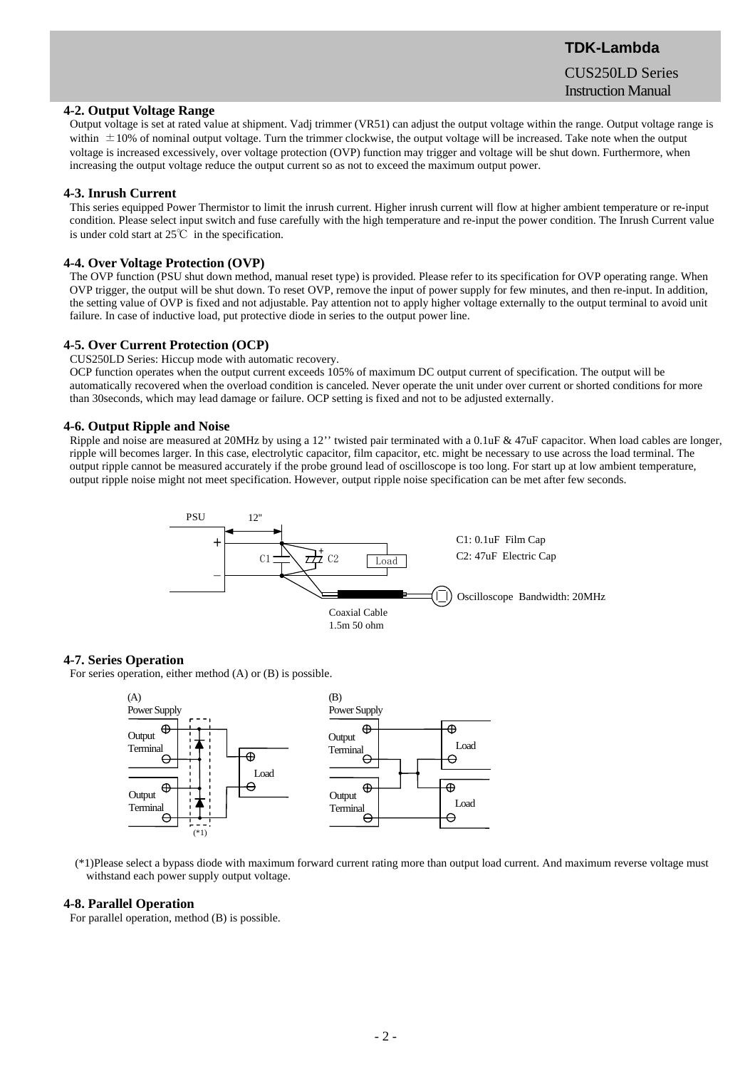## **TDK-Lambda**

CUS250LD Series Instruction Manual

## **4-2. Output Voltage Range**

Output voltage is set at rated value at shipment. Vadj trimmer (VR51) can adjust the output voltage within the range. Output voltage range is within  $\pm 10\%$  of nominal output voltage. Turn the trimmer clockwise, the output voltage will be increased. Take note when the output voltage is increased excessively, over voltage protection (OVP) function may trigger and voltage will be shut down. Furthermore, when increasing the output voltage reduce the output current so as not to exceed the maximum output power.

#### **4-3. Inrush Current**

This series equipped Power Thermistor to limit the inrush current. Higher inrush current will flow at higher ambient temperature or re-input condition. Please select input switch and fuse carefully with the high temperature and re-input the power condition. The Inrush Current value is under cold start at 25℃ in the specification.

#### **4-4. Over Voltage Protection (OVP)**

The OVP function (PSU shut down method, manual reset type) is provided. Please refer to its specification for OVP operating range. When OVP trigger, the output will be shut down. To reset OVP, remove the input of power supply for few minutes, and then re-input. In addition, the setting value of OVP is fixed and not adjustable. Pay attention not to apply higher voltage externally to the output terminal to avoid unit failure. In case of inductive load, put protective diode in series to the output power line.

#### **4-5. Over Current Protection (OCP)**

CUS250LD Series: Hiccup mode with automatic recovery.

OCP function operates when the output current exceeds 105% of maximum DC output current of specification. The output will be automatically recovered when the overload condition is canceled. Never operate the unit under over current or shorted conditions for more than 30seconds, which may lead damage or failure. OCP setting is fixed and not to be adjusted externally.

#### **4-6. Output Ripple and Noise**

Ripple and noise are measured at 20MHz by using a 12'' twisted pair terminated with a 0.1uF & 47uF capacitor. When load cables are longer, ripple will becomes larger. In this case, electrolytic capacitor, film capacitor, etc. might be necessary to use across the load terminal. The output ripple cannot be measured accurately if the probe ground lead of oscilloscope is too long. For start up at low ambient temperature, output ripple noise might not meet specification. However, output ripple noise specification can be met after few seconds.



#### **4-7. Series Operation**

For series operation, either method (A) or (B) is possible.



(\*1)Please select a bypass diode with maximum forward current rating more than output load current. And maximum reverse voltage must withstand each power supply output voltage.

#### **4-8. Parallel Operation**

For parallel operation, method (B) is possible.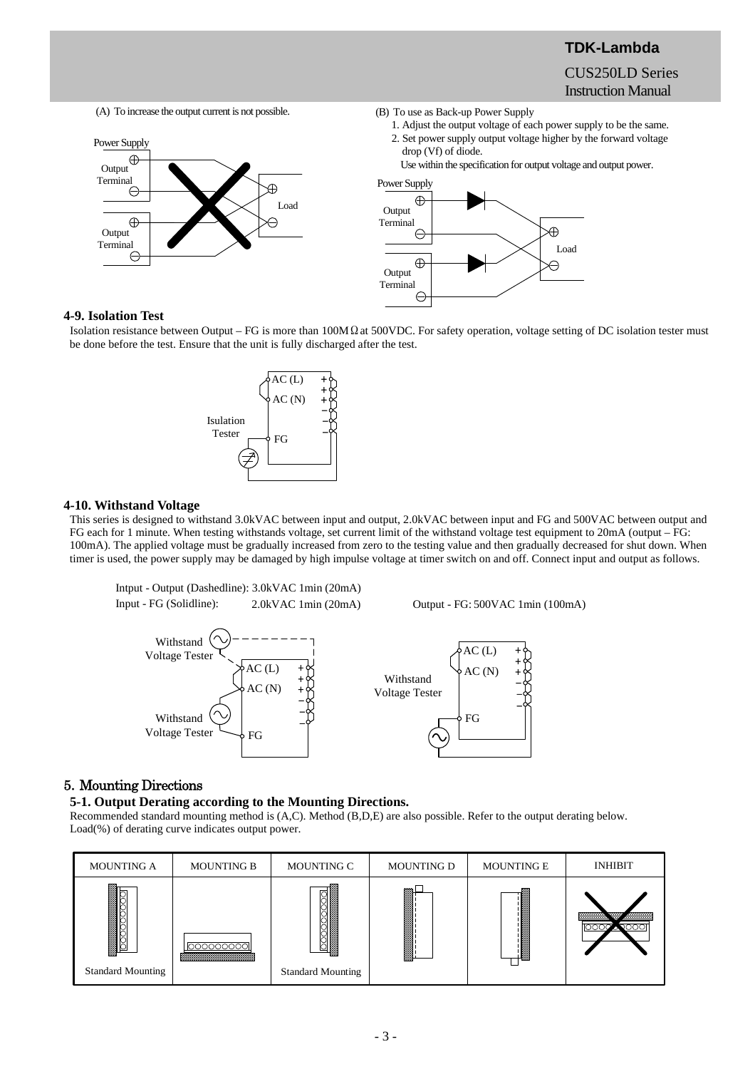**TDK-Lambda**  CUS250LD Series Instruction Manual

(A) To increase the output current is not possible.



- (B) To use as Back-up Power Supply
	- 1. Adjust the output voltage of each power supply to be the same. 2. Set power supply output voltage higher by the forward voltage drop (Vf) of diode.

Use within the specification for output voltage and output power.



## **4-9. Isolation Test**

Isolation resistance between Output – FG is more than  $100MΩ$ at 500VDC. For safety operation, voltage setting of DC isolation tester must be done before the test. Ensure that the unit is fully discharged after the test.



#### **4-10. Withstand Voltage**

This series is designed to withstand 3.0kVAC between input and output, 2.0kVAC between input and FG and 500VAC between output and FG each for 1 minute. When testing withstands voltage, set current limit of the withstand voltage test equipment to 20mA (output – FG: 100mA). The applied voltage must be gradually increased from zero to the testing value and then gradually decreased for shut down. When timer is used, the power supply may be damaged by high impulse voltage at timer switch on and off. Connect input and output as follows.

Intput - Output (Dashedline): 3.0kVAC 1min (20mA) Input - FG (Solidline): 2.0kVAC 1min (20mA) 500 Output - FG: 500VAC 1min (100mA)



## 5.Mounting Directions

#### **5-1. Output Derating according to the Mounting Directions.**

Recommended standard mounting method is (A,C). Method (B,D,E) are also possible. Refer to the output derating below. Load(%) of derating curve indicates output power.

| <b>MOUNTING A</b>                                      | <b>MOUNTING B</b> | MOUNTING C                                                  | <b>MOUNTING D</b> | <b>MOUNTING E</b>                                                                                                  | <b>INHIBIT</b> |
|--------------------------------------------------------|-------------------|-------------------------------------------------------------|-------------------|--------------------------------------------------------------------------------------------------------------------|----------------|
| ∞<br>≍<br>≍<br>≍<br>≍<br>ğ<br><b>Standard Mounting</b> | 1000000001        | <b>MARK STAR STAR STAR STAR</b><br><b>Standard Mounting</b> | 网络欧汉汉汉汉汉汉         | E<br>EXTERNATIONAL CONSULTANCE CONSULTANCE CONSULTANCE CONSULTANCE CONSULTANCE CONSULTANCE CONSULTANCE CONSULTANCE | JOO!           |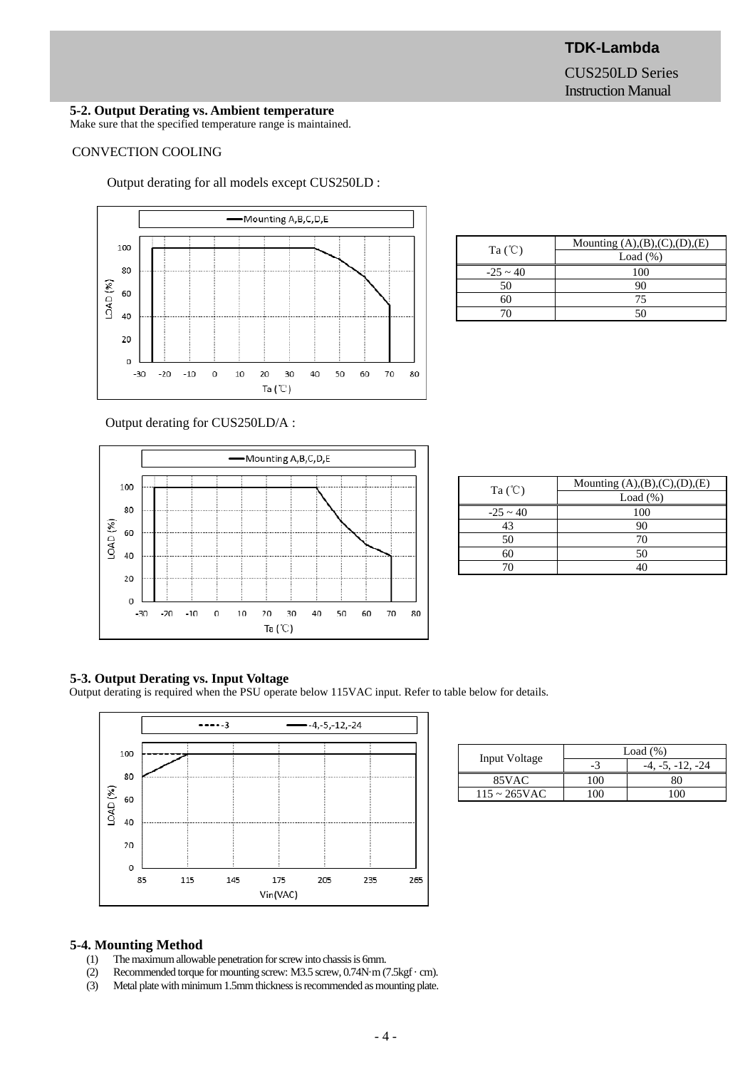**TDK-Lambda**  CUS250LD Series Instruction Manual

## **5-2. Output Derating vs. Ambient temperature**

Make sure that the specified temperature range is maintained.

## CONVECTION COOLING

Output derating for all models except CUS250LD :



| Mounting $(A),(B),(C),(D),(E)$ |  |  |
|--------------------------------|--|--|
| Load $(\%)$                    |  |  |
| 100                            |  |  |
| 90                             |  |  |
| 75                             |  |  |
| 50                             |  |  |
|                                |  |  |

Output derating for CUS250LD/A :



| Ta $(C)$      | Mounting $(A),(B),(C),(D),(E)$<br>Load $(\%)$ |  |
|---------------|-----------------------------------------------|--|
| $-25 \sim 40$ | 100                                           |  |
| 43            |                                               |  |
| 50            |                                               |  |
| 60            | 50                                            |  |
|               |                                               |  |

## **5-3. Output Derating vs. Input Voltage**

Output derating is required when the PSU operate below 115VAC input. Refer to table below for details.



|                 | Load $(\%)$ |                    |  |
|-----------------|-------------|--------------------|--|
| Input Voltage   | - 1         | $-4, -5, -12, -24$ |  |
| 85VAC           | -06         |                    |  |
| $115 - 265$ VAC |             |                    |  |

## **5-4. Mounting Method**

- (1) The maximum allowable penetration for screw into chassis is 6mm.
- (2) Recommended torque for mounting screw: M3.5 screw, 0.74N·m (7.5kgf · cm).
- (3) Metal plate with minimum 1.5mm thickness is recommended as mounting plate.